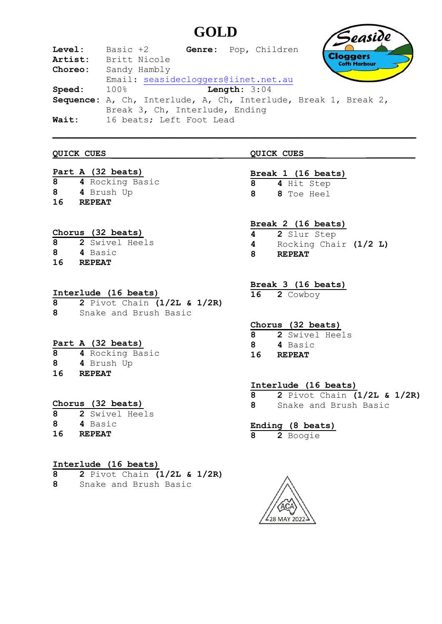# **GOLD**

| Level:  | Basic +2<br>Genre: Pop, Children                                |
|---------|-----------------------------------------------------------------|
| Artist: | <b>Cloggers</b><br>Britt Nicole<br><b>His Harbour</b>           |
| Choreo: | Sandy Hambly                                                    |
|         | Email: seasidecloggers@iinet.net.au                             |
| Speed:  | Length: $3:04$<br>100%                                          |
|         | Sequence: A, Ch, Interlude, A, Ch, Interlude, Break 1, Break 2, |
|         | Break 3, Ch, Interlude, Ending                                  |
| Wait:   | 16 beats; Left Foot Lead                                        |

#### **QUICK CUES \_\_\_\_\_\_\_\_\_\_\_\_\_\_\_\_\_\_\_ \_ QUICK CUES\_\_\_\_\_ \_\_\_\_\_\_\_\_\_\_\_**

### **Part A (32 beats)**

**8 4** Rocking Basic **8 4** Brush Up **16 REPEAT**

# **Chorus (32 beats)**

| 8  | 2 Swivel Heels |  |
|----|----------------|--|
| 8  | 4 Basic        |  |
| 16 | <b>REPEAT</b>  |  |

# **Interlude (16 beats)**

**8 2** Pivot Chain **(1/2L & 1/2R) 8** Snake and Brush Basic

# **Part A (32 beats)**

| 8 | 4 Rocking Basic |  |
|---|-----------------|--|
|---|-----------------|--|

- **8 4** Brush Up
- **16 REPEAT**

# **Chorus (32 beats)**

- **8 2** Swivel Heels
- **8 4** Basic **16 REPEAT**

# **Interlude (16 beats)**

- **8 2** Pivot Chain **(1/2L & 1/2R)**
- **8** Snake and Brush Basic

# **Break 1 (16 beats)**

- **8 4** Hit Step
- **8 8** Toe Heel

# **Break 2 (16 beats)**

- **4 2** Slur Step **4** Rocking Chair **(1/2 L)**
- **8 REPEAT**

# **Break 3 (16 beats)**

**16 2** Cowboy

# **Chorus (32 beats)**

- **8 2** Swivel Heels
- **8 4** Basic
- **16 REPEAT**

# **Interlude (16 beats)**

**8 2** Pivot Chain **(1/2L & 1/2R) 8** Snake and Brush Basic

# **Ending (8 beats)**

**8 2** Boogie